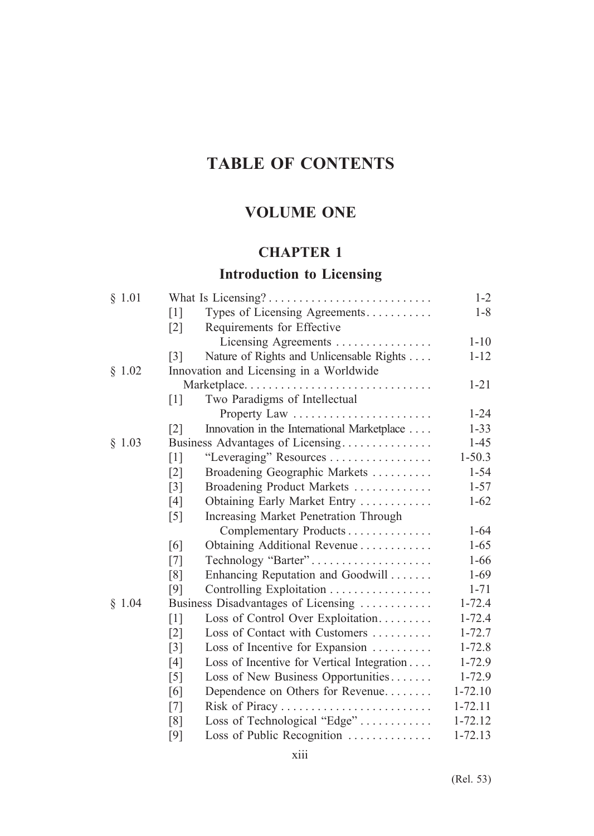# **TABLE OF CONTENTS**

# **VOLUME ONE**

## **CHAPTER 1**

# **Introduction to Licensing**

| Types of Licensing Agreements<br>$\lceil 1 \rceil$<br>Requirements for Effective<br>$\lceil 2 \rceil$<br>Licensing Agreements<br>Nature of Rights and Unlicensable Rights<br>$\lceil 3 \rceil$<br>§ 1.02<br>Innovation and Licensing in a Worldwide<br>Marketplace<br>Two Paradigms of Intellectual<br>$\lceil 1 \rceil$<br>Property Law<br>$\lceil 2 \rceil$<br>Innovation in the International Marketplace<br>§ 1.03<br>Business Advantages of Licensing<br>$1 - 50.3$<br>"Leveraging" Resources<br>$\lceil 1 \rceil$<br>$\lceil 2 \rceil$<br>Broadening Geographic Markets<br>Broadening Product Markets<br>$\lceil 3 \rceil$<br>Obtaining Early Market Entry<br>[4]<br>Increasing Market Penetration Through<br>$\lceil 5 \rceil$ | $1 - 8$  |
|---------------------------------------------------------------------------------------------------------------------------------------------------------------------------------------------------------------------------------------------------------------------------------------------------------------------------------------------------------------------------------------------------------------------------------------------------------------------------------------------------------------------------------------------------------------------------------------------------------------------------------------------------------------------------------------------------------------------------------------|----------|
|                                                                                                                                                                                                                                                                                                                                                                                                                                                                                                                                                                                                                                                                                                                                       |          |
|                                                                                                                                                                                                                                                                                                                                                                                                                                                                                                                                                                                                                                                                                                                                       |          |
|                                                                                                                                                                                                                                                                                                                                                                                                                                                                                                                                                                                                                                                                                                                                       | $1 - 10$ |
|                                                                                                                                                                                                                                                                                                                                                                                                                                                                                                                                                                                                                                                                                                                                       | $1 - 12$ |
|                                                                                                                                                                                                                                                                                                                                                                                                                                                                                                                                                                                                                                                                                                                                       |          |
|                                                                                                                                                                                                                                                                                                                                                                                                                                                                                                                                                                                                                                                                                                                                       | $1 - 21$ |
|                                                                                                                                                                                                                                                                                                                                                                                                                                                                                                                                                                                                                                                                                                                                       |          |
|                                                                                                                                                                                                                                                                                                                                                                                                                                                                                                                                                                                                                                                                                                                                       | $1 - 24$ |
|                                                                                                                                                                                                                                                                                                                                                                                                                                                                                                                                                                                                                                                                                                                                       | $1 - 33$ |
|                                                                                                                                                                                                                                                                                                                                                                                                                                                                                                                                                                                                                                                                                                                                       | $1 - 45$ |
|                                                                                                                                                                                                                                                                                                                                                                                                                                                                                                                                                                                                                                                                                                                                       |          |
|                                                                                                                                                                                                                                                                                                                                                                                                                                                                                                                                                                                                                                                                                                                                       | $1 - 54$ |
|                                                                                                                                                                                                                                                                                                                                                                                                                                                                                                                                                                                                                                                                                                                                       | $1 - 57$ |
|                                                                                                                                                                                                                                                                                                                                                                                                                                                                                                                                                                                                                                                                                                                                       | $1-62$   |
|                                                                                                                                                                                                                                                                                                                                                                                                                                                                                                                                                                                                                                                                                                                                       |          |
| Complementary Products                                                                                                                                                                                                                                                                                                                                                                                                                                                                                                                                                                                                                                                                                                                | $1 - 64$ |
| Obtaining Additional Revenue<br>[6]                                                                                                                                                                                                                                                                                                                                                                                                                                                                                                                                                                                                                                                                                                   | $1 - 65$ |
| Technology "Barter"<br>$[7]$                                                                                                                                                                                                                                                                                                                                                                                                                                                                                                                                                                                                                                                                                                          | $1 - 66$ |
| Enhancing Reputation and Goodwill<br>[8]                                                                                                                                                                                                                                                                                                                                                                                                                                                                                                                                                                                                                                                                                              | $1-69$   |
| [9]<br>Controlling Exploitation                                                                                                                                                                                                                                                                                                                                                                                                                                                                                                                                                                                                                                                                                                       | $1 - 71$ |
| § 1.04<br>$1 - 72.4$<br>Business Disadvantages of Licensing                                                                                                                                                                                                                                                                                                                                                                                                                                                                                                                                                                                                                                                                           |          |
| $1 - 72.4$<br>[1]<br>Loss of Control Over Exploitation                                                                                                                                                                                                                                                                                                                                                                                                                                                                                                                                                                                                                                                                                |          |
| Loss of Contact with Customers<br>$1 - 72.7$<br>$\lceil 2 \rceil$                                                                                                                                                                                                                                                                                                                                                                                                                                                                                                                                                                                                                                                                     |          |
| $1 - 72.8$<br>$\lceil 3 \rceil$<br>Loss of Incentive for Expansion                                                                                                                                                                                                                                                                                                                                                                                                                                                                                                                                                                                                                                                                    |          |
| Loss of Incentive for Vertical Integration<br>$1 - 72.9$<br>[4]                                                                                                                                                                                                                                                                                                                                                                                                                                                                                                                                                                                                                                                                       |          |
| $1 - 72.9$<br>Loss of New Business Opportunities<br>$[5]$                                                                                                                                                                                                                                                                                                                                                                                                                                                                                                                                                                                                                                                                             |          |
| Dependence on Others for Revenue<br>$1 - 72.10$<br>[6]                                                                                                                                                                                                                                                                                                                                                                                                                                                                                                                                                                                                                                                                                |          |
| $1 - 72.11$<br>[7]                                                                                                                                                                                                                                                                                                                                                                                                                                                                                                                                                                                                                                                                                                                    |          |
| Loss of Technological "Edge"<br>$1 - 72.12$<br>[8]                                                                                                                                                                                                                                                                                                                                                                                                                                                                                                                                                                                                                                                                                    |          |
| Loss of Public Recognition<br>1-72.13<br>[9]                                                                                                                                                                                                                                                                                                                                                                                                                                                                                                                                                                                                                                                                                          |          |

(Rel. 53)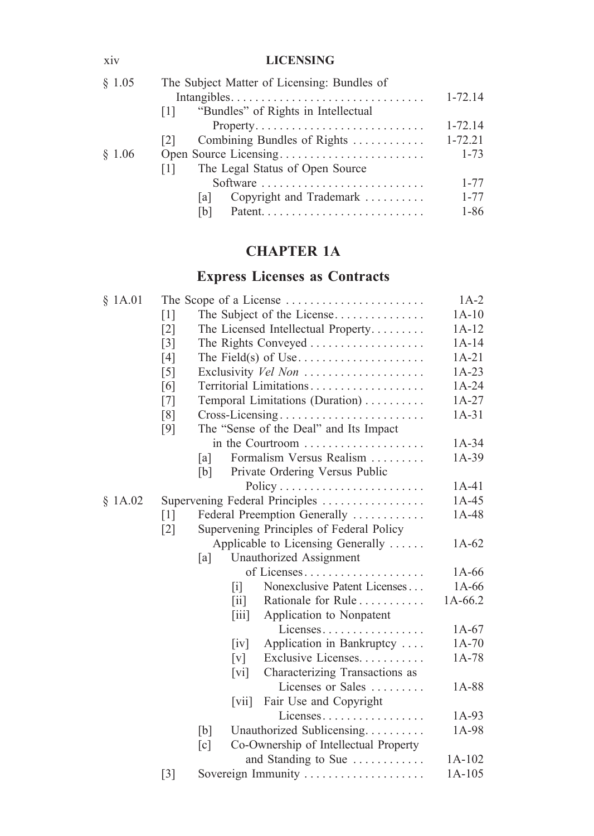### xiv **LICENSING**

| § 1.05 | The Subject Matter of Licensing: Bundles of      |             |
|--------|--------------------------------------------------|-------------|
|        |                                                  | $1-72.14$   |
|        | "Bundles" of Rights in Intellectual<br>$\Box$    |             |
|        |                                                  | $1 - 72.14$ |
|        | Combining Bundles of Rights<br>121               | $1 - 72.21$ |
| \$1.06 |                                                  | $1 - 73$    |
|        | The Legal Status of Open Source<br>$\Box$        |             |
|        | Software                                         | $1 - 77$    |
|        | Copyright and Trademark $\dots\dots\dots$<br>lal | $1 - 77$    |
|        | IbI                                              | 1-86        |
|        |                                                  |             |

# **CHAPTER 1A**

# **Express Licenses as Contracts**

| § 1A.01 |                   |     |                                          | The Scope of a License $\dots\dots\dots\dots\dots\dots\dots\dots$ | $1A-2$             |  |
|---------|-------------------|-----|------------------------------------------|-------------------------------------------------------------------|--------------------|--|
|         | $\lceil 1 \rceil$ |     |                                          | The Subject of the License                                        | $1A-10$            |  |
|         | $\lceil 2 \rceil$ |     |                                          | The Licensed Intellectual Property                                | $1A-12$            |  |
|         | $\lceil 3 \rceil$ |     |                                          | The Rights Conveyed                                               | $1A-14$            |  |
|         | [4]               |     |                                          |                                                                   | $1A-21$            |  |
|         | $\lceil 5 \rceil$ |     |                                          | Exclusivity Vel Non                                               | $1A-23$            |  |
|         | [6]               |     |                                          | Territorial Limitations                                           | $1A-24$            |  |
|         | [7]               |     | Temporal Limitations (Duration)          |                                                                   |                    |  |
|         | [8]               |     |                                          | Cross-Licensing                                                   | $1A-27$<br>$1A-31$ |  |
|         | [9]               |     |                                          | The "Sense of the Deal" and Its Impact                            |                    |  |
|         |                   |     |                                          | in the Courtroom                                                  | $1A-34$            |  |
|         |                   | [a] |                                          | Formalism Versus Realism                                          | $1A-39$            |  |
|         |                   | [b] |                                          | Private Ordering Versus Public                                    |                    |  |
|         |                   |     |                                          |                                                                   | $1A-41$            |  |
| \$1A.02 |                   |     |                                          | Supervening Federal Principles                                    | $1A-45$            |  |
|         | $\lceil 1 \rceil$ |     |                                          | Federal Preemption Generally                                      | $1A-48$            |  |
|         | $\lceil 2 \rceil$ |     |                                          | Supervening Principles of Federal Policy                          |                    |  |
|         |                   |     |                                          | Applicable to Licensing Generally                                 | $1A-62$            |  |
|         |                   | [a] |                                          | Unauthorized Assignment                                           |                    |  |
|         |                   |     |                                          | of Licenses                                                       | $1A-66$            |  |
|         |                   |     | Π                                        | Nonexclusive Patent Licenses                                      | $1A-66$            |  |
|         |                   |     | $\left\lceil \text{i} \right\rceil$      | Rationale for Rule                                                | 1A-66.2            |  |
|         |                   |     | $\left\lceil \frac{1}{111} \right\rceil$ | Application to Nonpatent                                          |                    |  |
|         |                   |     |                                          | Licenses                                                          | $1A-67$            |  |
|         |                   |     | $\lceil \mathrm{iv} \rceil$              | Application in Bankruptcy                                         | $1A-70$            |  |
|         |                   |     | [v]                                      | Exclusive Licenses                                                | 1A-78              |  |
|         |                   |     | $\lceil \mathrm{vi} \rceil$              | Characterizing Transactions as                                    |                    |  |
|         |                   |     |                                          | Licenses or Sales                                                 | 1A-88              |  |
|         |                   |     | $\lceil \nabla$ <sup>11</sup>            | Fair Use and Copyright                                            |                    |  |
|         |                   |     |                                          | Licenses                                                          | $1A-93$            |  |
|         |                   | [b] |                                          | Unauthorized Sublicensing                                         | 1A-98              |  |
|         |                   | [c] |                                          | Co-Ownership of Intellectual Property                             |                    |  |
|         |                   |     |                                          | and Standing to Sue                                               | $1A-102$           |  |
|         | $\lceil 3 \rceil$ |     |                                          | Sovereign Immunity                                                | $1A-105$           |  |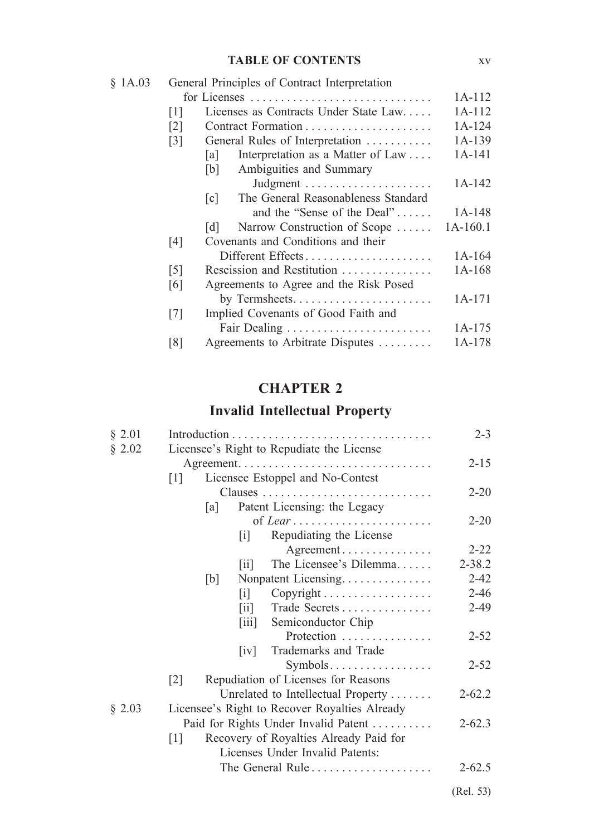### **TABLE OF CONTENTS** xv

| \$1A.03 |                   | General Principles of Contract Interpretation            |            |
|---------|-------------------|----------------------------------------------------------|------------|
|         |                   | 1A-112                                                   |            |
|         | $[1]$             | Licenses as Contracts Under State Law                    | $1A-112$   |
|         | $\lceil 2 \rceil$ |                                                          | $1A-124$   |
|         | $\lceil 3 \rceil$ | General Rules of Interpretation                          | 1A-139     |
|         |                   | Interpretation as a Matter of Law<br> a                  | 1A-141     |
|         |                   | Ambiguities and Summary<br>[b]                           |            |
|         |                   |                                                          | 1A-142     |
|         |                   | The General Reasonableness Standard<br>$\lceil c \rceil$ |            |
|         |                   | and the "Sense of the Deal"                              | $1A-148$   |
|         |                   | Narrow Construction of Scope<br> d                       | $1A-160.1$ |
|         | [4]               | Covenants and Conditions and their                       |            |
|         |                   | Different Effects                                        | 1A-164     |
|         | $\lceil 5 \rceil$ | Rescission and Restitution                               | $1A-168$   |
|         | [6]               | Agreements to Agree and the Risk Posed                   |            |
|         |                   |                                                          | $1A-171$   |
|         | [7]               | Implied Covenants of Good Faith and                      |            |
|         |                   |                                                          | $1A-175$   |
|         | [8]               | Agreements to Arbitrate Disputes                         | 1A-178     |

## **CHAPTER 2**

# **Invalid Intellectual Property**

| § 2.01 |                                                             | $2 - 3$    |
|--------|-------------------------------------------------------------|------------|
| § 2.02 | Licensee's Right to Repudiate the License                   |            |
|        |                                                             | $2 - 15$   |
|        | Licensee Estoppel and No-Contest<br> 1                      |            |
|        |                                                             | $2 - 20$   |
|        | Patent Licensing: the Legacy<br> a                          |            |
|        |                                                             | $2 - 20$   |
|        | Repudiating the License<br> 1                               |            |
|        | Agreement                                                   | $2 - 22$   |
|        | The Licensee's Dilemma<br> 11                               | $2 - 38.2$ |
|        | [b]<br>Nonpatent Licensing                                  | $2 - 42$   |
|        | Copyright<br>$\lceil i \rceil$                              | $2 - 46$   |
|        | Trade Secrets<br>$\vert \overline{\mathbf{u}} \vert$        | $2-49$     |
|        | Semiconductor Chip<br>$\left\lceil \text{iii} \right\rceil$ |            |
|        | Protection                                                  | $2 - 52$   |
|        | Trademarks and Trade<br>$\lceil iv \rceil$                  |            |
|        | $Symbols.$                                                  | $2 - 52$   |
|        | Repudiation of Licenses for Reasons<br>$\lceil 2 \rceil$    |            |
|        | Unrelated to Intellectual Property                          | $2 - 62.2$ |
| § 2.03 | Licensee's Right to Recover Royalties Already               |            |
|        | Paid for Rights Under Invalid Patent                        | $2 - 62.3$ |
|        | Recovery of Royalties Already Paid for<br>[1]               |            |
|        | Licenses Under Invalid Patents:                             |            |
|        | The General Rule $\dots \dots \dots \dots \dots \dots$      | $2 - 62.5$ |
|        |                                                             | (Rel. 53)  |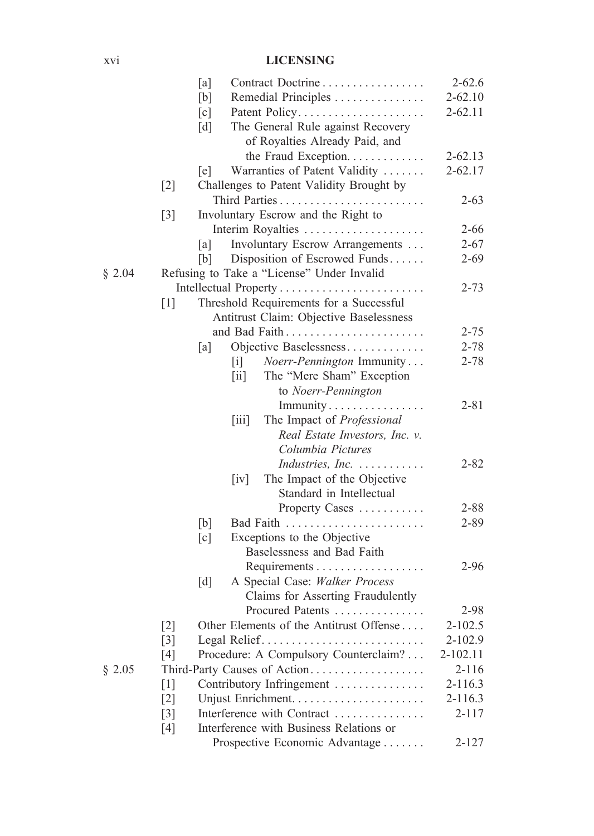### xvi **LICENSING**

|        |       | [a] | Contract Doctrine                                      | $2 - 62.6$  |
|--------|-------|-----|--------------------------------------------------------|-------------|
|        |       | [b] | Remedial Principles                                    | $2 - 62.10$ |
|        |       | [c] | Patent Policy                                          | $2 - 62.11$ |
|        |       | [d] | The General Rule against Recovery                      |             |
|        |       |     | of Royalties Already Paid, and                         |             |
|        |       |     | the Fraud Exception.                                   | $2 - 62.13$ |
|        |       | [e] | Warranties of Patent Validity                          | $2 - 62.17$ |
|        | $[2]$ |     | Challenges to Patent Validity Brought by               |             |
|        |       |     |                                                        |             |
|        |       |     |                                                        | $2 - 63$    |
|        | $[3]$ |     | Involuntary Escrow and the Right to                    |             |
|        |       |     | Interim Royalties                                      | $2 - 66$    |
|        |       | [a] | Involuntary Escrow Arrangements                        | $2 - 67$    |
|        |       | [b] | Disposition of Escrowed Funds                          | $2 - 69$    |
| § 2.04 |       |     | Refusing to Take a "License" Under Invalid             |             |
|        |       |     |                                                        | $2 - 73$    |
|        | $[1]$ |     | Threshold Requirements for a Successful                |             |
|        |       |     | Antitrust Claim: Objective Baselessness                |             |
|        |       |     |                                                        | $2 - 75$    |
|        |       | [a] | Objective Baselessness                                 | $2 - 78$    |
|        |       |     | Noerr-Pennington Immunity<br>$\lceil i \rceil$         | $2 - 78$    |
|        |       |     | The "Mere Sham" Exception<br>$\left[\text{iii}\right]$ |             |
|        |       |     | to Noerr-Pennington                                    |             |
|        |       |     | Immunity                                               | $2 - 81$    |
|        |       |     | The Impact of Professional<br>[iii]                    |             |
|        |       |     | Real Estate Investors, Inc. v.                         |             |
|        |       |     | Columbia Pictures                                      |             |
|        |       |     | Industries, Inc.                                       | $2 - 82$    |
|        |       |     | The Impact of the Objective<br>$\lceil iv \rceil$      |             |
|        |       |     | Standard in Intellectual                               |             |
|        |       |     |                                                        |             |
|        |       |     | Property Cases                                         | $2 - 88$    |
|        |       | [b] |                                                        | $2 - 89$    |
|        |       | [c] | Exceptions to the Objective                            |             |
|        |       |     | Baselessness and Bad Faith                             |             |
|        |       |     |                                                        | $2 - 96$    |
|        |       | [d] | A Special Case: Walker Process                         |             |
|        |       |     | Claims for Asserting Fraudulently                      |             |
|        |       |     | Procured Patents                                       | 2-98        |
|        | $[2]$ |     | Other Elements of the Antitrust Offense                | $2 - 102.5$ |
|        | $[3]$ |     | Legal Relief                                           | 2-102.9     |
|        | $[4]$ |     | Procedure: A Compulsory Counterclaim?                  | 2-102.11    |
| § 2.05 |       |     | Third-Party Causes of Action                           | $2 - 116$   |
|        | $[1]$ |     | Contributory Infringement                              | $2 - 116.3$ |
|        | $[2]$ |     |                                                        | $2-116.3$   |
|        | $[3]$ |     | Interference with Contract                             | $2 - 117$   |
|        | $[4]$ |     | Interference with Business Relations or                |             |
|        |       |     | Prospective Economic Advantage                         | $2 - 127$   |
|        |       |     |                                                        |             |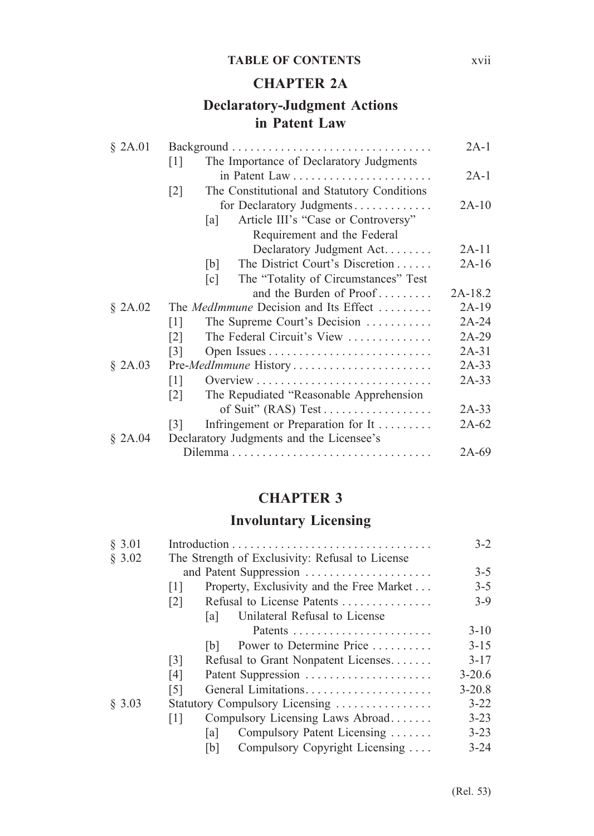#### **TABLE OF CONTENTS** xvii

### **CHAPTER 2A**

## **Declaratory-Judgment Actions in Patent Law**

| \$2A.01 |                                                                  | $2A-1$  |
|---------|------------------------------------------------------------------|---------|
|         | The Importance of Declaratory Judgments<br>$\lceil 1 \rceil$     |         |
|         |                                                                  | $2A-1$  |
|         | The Constitutional and Statutory Conditions<br>$\lceil 2 \rceil$ |         |
|         | for Declaratory Judgments                                        | $2A-10$ |
|         | Article III's "Case or Controversy"<br>[a]                       |         |
|         | Requirement and the Federal                                      |         |
|         | Declaratory Judgment Act.                                        | $2A-11$ |
|         | The District Court's Discretion<br>[b]                           | $2A-16$ |
|         | The "Totality of Circumstances" Test<br>$\lceil c \rceil$        |         |
|         | and the Burden of Proof                                          | 2A-18.2 |
| \$2A.02 | The <i>MedImmune</i> Decision and Its Effect                     | $2A-19$ |
|         | The Supreme Court's Decision<br>[1]                              | $2A-24$ |
|         | The Federal Circuit's View<br>$\lceil 2 \rceil$                  | $2A-29$ |
|         | [3]                                                              | $2A-31$ |
| \$2A.03 |                                                                  | $2A-33$ |
|         | $\lceil 1 \rceil$                                                | $2A-33$ |
|         | The Repudiated "Reasonable Apprehension<br>$\lceil 2 \rceil$     |         |
|         |                                                                  | $2A-33$ |
|         | Infringement or Preparation for It<br>[3]                        | 2A-62   |
| \$2A.04 | Declaratory Judgments and the Licensee's                         |         |
|         |                                                                  | 2A-69   |

## **CHAPTER 3**

## **Involuntary Licensing**

| \$3.01 |                                |                                                 | $3-2$      |
|--------|--------------------------------|-------------------------------------------------|------------|
| § 3.02 |                                | The Strength of Exclusivity: Refusal to License |            |
|        |                                | and Patent Suppression                          | $3-5$      |
|        | [1]                            | Property, Exclusivity and the Free Market       | $3-5$      |
|        | $\lceil 2 \rceil$              | Refusal to License Patents                      | $3-9$      |
|        |                                | Unilateral Refusal to License<br>[a]            |            |
|        |                                |                                                 | $3 - 10$   |
|        |                                | Power to Determine Price<br>[b]                 | $3 - 15$   |
|        | $\lceil 3 \rceil$              | Refusal to Grant Nonpatent Licenses             | $3 - 17$   |
|        | [4]                            | Patent Suppression                              | $3 - 20.6$ |
|        | [5]                            | General Limitations                             | $3 - 20.8$ |
| \$3.03 | Statutory Compulsory Licensing |                                                 |            |
|        | [1]                            | Compulsory Licensing Laws Abroad                | $3 - 23$   |
|        |                                | Compulsory Patent Licensing<br>lal              | $3 - 23$   |
|        |                                | Compulsory Copyright Licensing<br>[b]           | $3 - 24$   |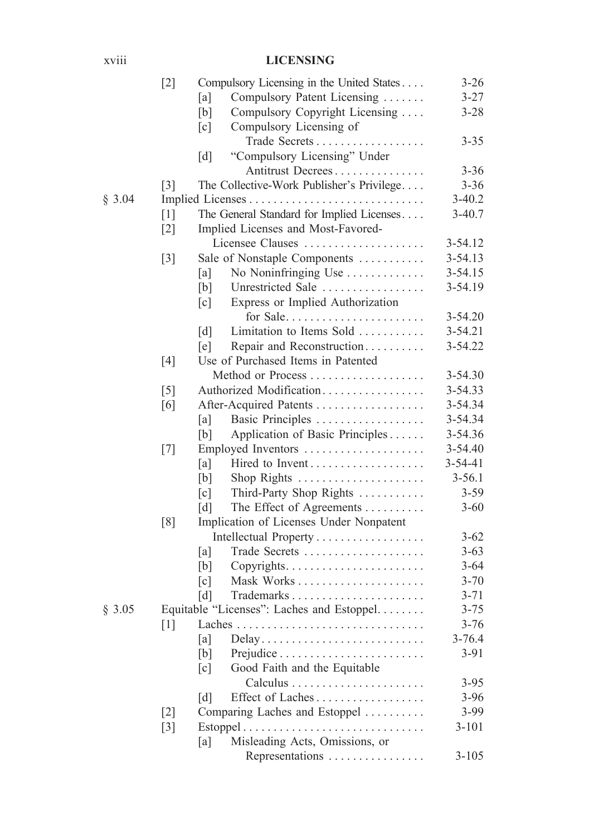### xviii **LICENSING**

|        | $[2]$             | Compulsory Licensing in the United States             | $3 - 26$      |
|--------|-------------------|-------------------------------------------------------|---------------|
|        |                   | Compulsory Patent Licensing<br>[a]                    | $3 - 27$      |
|        |                   | [b]<br>Compulsory Copyright Licensing                 | $3 - 28$      |
|        |                   | [c]<br>Compulsory Licensing of                        |               |
|        |                   | Trade Secrets<br>.                                    | $3 - 35$      |
|        |                   | [d]<br>"Compulsory Licensing" Under                   |               |
|        |                   | Antitrust Decrees                                     | $3 - 36$      |
|        | $\lceil 3 \rceil$ | The Collective-Work Publisher's Privilege             | $3 - 36$      |
| § 3.04 |                   |                                                       | $3-40.2$      |
|        | $[1]$             | The General Standard for Implied Licenses             | $3-40.7$      |
|        | $\lceil 2 \rceil$ | Implied Licenses and Most-Favored-                    |               |
|        |                   | Licensee Clauses                                      | 3-54.12       |
|        | $[3]$             | Sale of Nonstaple Components                          | $3 - 54.13$   |
|        |                   | [a]<br>No Noninfringing Use                           | $3 - 54.15$   |
|        |                   | [b]<br>Unrestricted Sale                              | 3-54.19       |
|        |                   | Express or Implied Authorization<br>$\lceil c \rceil$ |               |
|        |                   | for Sale                                              | $3 - 54.20$   |
|        |                   | Limitation to Items Sold<br>$\lceil d \rceil$         | $3 - 54.21$   |
|        |                   | Repair and Reconstruction<br>[e]                      | 3-54.22       |
|        | $[4]$             | Use of Purchased Items in Patented                    |               |
|        |                   |                                                       | 3-54.30       |
|        | $[5]$             | Authorized Modification                               | 3-54.33       |
|        | [6]               | After-Acquired Patents                                | 3-54.34       |
|        |                   | Basic Principles<br>[a]                               | 3-54.34       |
|        |                   | Application of Basic Principles<br>[b]                | 3-54.36       |
|        | $[7]$             | Employed Inventors                                    | 3-54.40       |
|        |                   | [a]<br>Hired to Invent                                | $3 - 54 - 41$ |
|        |                   | [b]<br>Shop Rights                                    | $3 - 56.1$    |
|        |                   | Third-Party Shop Rights<br>[c]                        | $3 - 59$      |
|        |                   | [d]<br>The Effect of Agreements                       | $3 - 60$      |
|        | [8]               | Implication of Licenses Under Nonpatent               |               |
|        |                   | Intellectual Property                                 | $3 - 62$      |
|        |                   | [a]<br>Trade Secrets                                  | $3 - 63$      |
|        |                   | [b]                                                   | $3 - 64$      |
|        |                   | $\lceil c \rceil$                                     | $3 - 70$      |
|        |                   | $\lceil d \rceil$                                     | $3 - 71$      |
| § 3.05 |                   | Equitable "Licenses": Laches and Estoppel             | $3 - 75$      |
|        |                   |                                                       | $3 - 76$      |
|        |                   | [a]<br>Delay                                          | $3 - 76.4$    |
|        |                   | [b]                                                   | $3 - 91$      |
|        |                   | Good Faith and the Equitable<br>[c]                   |               |
|        |                   |                                                       | $3 - 95$      |
|        |                   | Effect of Laches<br>$\lceil d \rceil$                 | $3 - 96$      |
|        | $[2]$             | Comparing Laches and Estoppel                         | 3-99          |
|        | $[3]$             |                                                       | $3 - 101$     |
|        |                   | Misleading Acts, Omissions, or<br>[a]                 |               |
|        |                   | Representations                                       | $3 - 105$     |
|        |                   |                                                       |               |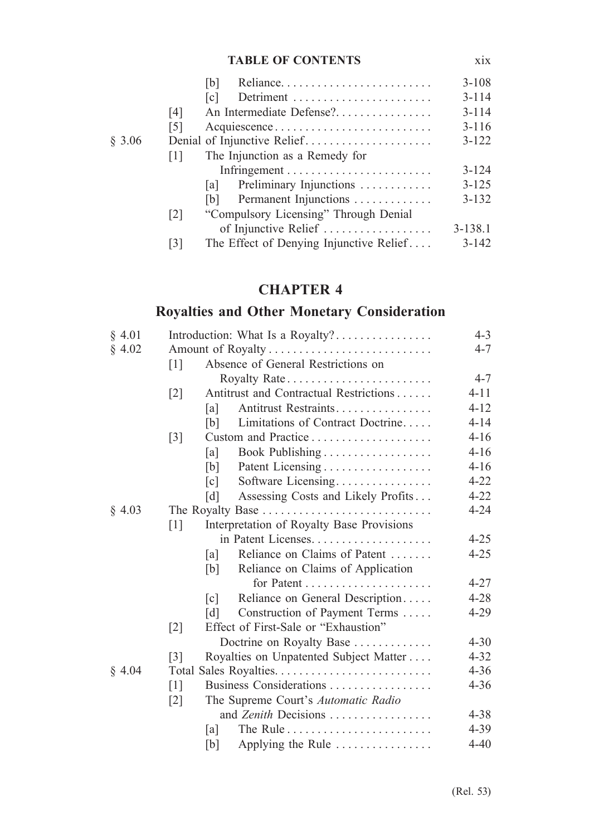#### **TABLE OF CONTENTS** xix

|                   |  |                                          | $3 - 108$                                                                                                                                                                                                                                                                 |
|-------------------|--|------------------------------------------|---------------------------------------------------------------------------------------------------------------------------------------------------------------------------------------------------------------------------------------------------------------------------|
|                   |  |                                          | $3 - 114$                                                                                                                                                                                                                                                                 |
| [4]               |  |                                          | $3 - 114$                                                                                                                                                                                                                                                                 |
| [5]               |  |                                          | $3 - 116$                                                                                                                                                                                                                                                                 |
|                   |  |                                          | $3 - 122$                                                                                                                                                                                                                                                                 |
| $\perp$           |  |                                          |                                                                                                                                                                                                                                                                           |
|                   |  |                                          |                                                                                                                                                                                                                                                                           |
|                   |  |                                          | $3 - 125$                                                                                                                                                                                                                                                                 |
|                   |  |                                          | $3 - 132$                                                                                                                                                                                                                                                                 |
| $\lceil 2 \rceil$ |  |                                          |                                                                                                                                                                                                                                                                           |
|                   |  |                                          | $3 - 138.1$                                                                                                                                                                                                                                                               |
| [3]               |  |                                          | $3 - 142$                                                                                                                                                                                                                                                                 |
|                   |  | [b]<br>$\lceil c \rceil$<br>lal -<br>[b] | An Intermediate Defense?<br>Acquiescence<br>Denial of Injunctive Relief<br>The Injunction as a Remedy for<br>Preliminary Injunctions<br>Permanent Injunctions<br>"Compulsory Licensing" Through Denial<br>of Injunctive Relief<br>The Effect of Denying Injunctive Relief |

# **CHAPTER 4**

# **Royalties and Other Monetary Consideration**

| § 4.01 |                   | Introduction: What Is a Royalty? |                                           |          |  |
|--------|-------------------|----------------------------------|-------------------------------------------|----------|--|
| § 4.02 |                   |                                  |                                           |          |  |
|        | $\lceil 1 \rceil$ |                                  | Absence of General Restrictions on        |          |  |
|        |                   |                                  | Royalty Rate                              | $4 - 7$  |  |
|        | $\lceil 2 \rceil$ |                                  | Antitrust and Contractual Restrictions    | $4 - 11$ |  |
|        |                   | [a]                              | Antitrust Restraints                      | $4 - 12$ |  |
|        |                   | [b]                              | Limitations of Contract Doctrine          | $4 - 14$ |  |
|        | $[3]$             |                                  |                                           | $4 - 16$ |  |
|        |                   | [a]                              | Book Publishing                           | $4 - 16$ |  |
|        |                   | [b]                              |                                           | $4 - 16$ |  |
|        |                   | [c]                              | Software Licensing                        | $4 - 22$ |  |
|        |                   | [d]                              | Assessing Costs and Likely Profits        | $4 - 22$ |  |
| § 4.03 |                   |                                  |                                           | $4 - 24$ |  |
|        | $\lceil 1 \rceil$ |                                  | Interpretation of Royalty Base Provisions |          |  |
|        |                   |                                  |                                           | $4 - 25$ |  |
|        |                   | [a]                              | Reliance on Claims of Patent              | $4 - 25$ |  |
|        |                   | [b]                              | Reliance on Claims of Application         |          |  |
|        |                   |                                  |                                           | $4 - 27$ |  |
|        |                   | $\lceil c \rceil$                | Reliance on General Description           | $4 - 28$ |  |
|        |                   | [d]                              | Construction of Payment Terms             | $4 - 29$ |  |
|        | $[2]$             |                                  | Effect of First-Sale or "Exhaustion"      |          |  |
|        |                   |                                  | Doctrine on Royalty Base                  | $4 - 30$ |  |
|        | $\lceil 3 \rceil$ |                                  | Royalties on Unpatented Subject Matter    | $4 - 32$ |  |
| § 4.04 |                   |                                  | Total Sales Royalties                     | $4 - 36$ |  |
|        | $\lceil 1 \rceil$ |                                  | Business Considerations                   | $4 - 36$ |  |
|        | $[2]$             |                                  | The Supreme Court's Automatic Radio       |          |  |
|        |                   |                                  | and Zenith Decisions                      | $4 - 38$ |  |
|        |                   | lal                              |                                           | $4 - 39$ |  |
|        |                   | [b]                              | Applying the Rule                         | $4 - 40$ |  |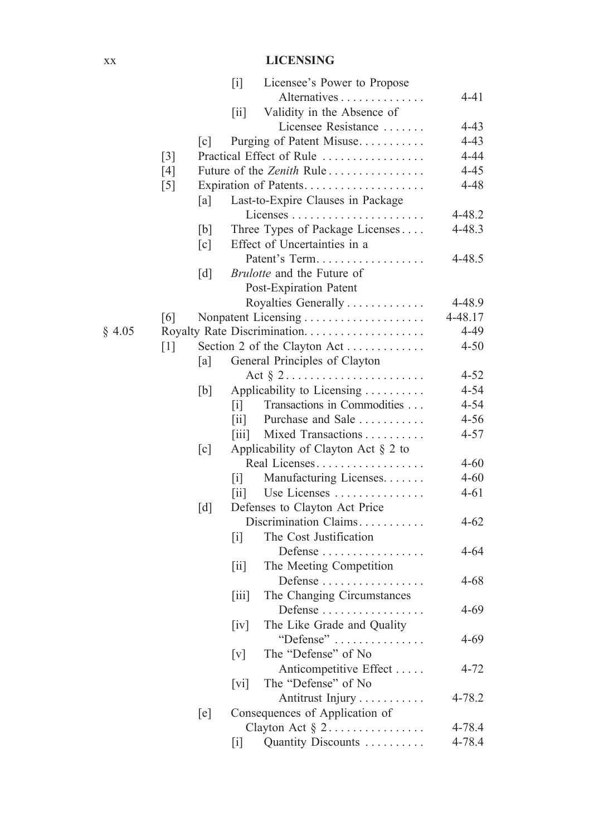### xx **LICENSING**

|        |                   |                   | Licensee's Power to Propose<br>$[1]$                                                         |            |
|--------|-------------------|-------------------|----------------------------------------------------------------------------------------------|------------|
|        |                   |                   | Alternatives                                                                                 | 4-41       |
|        |                   |                   | Validity in the Absence of<br>$\left[ \text{ii} \right]$                                     |            |
|        |                   |                   | Licensee Resistance                                                                          | $4 - 43$   |
|        |                   | $\lceil c \rceil$ | Purging of Patent Misuse                                                                     | $4 - 43$   |
|        | $\lceil 3 \rceil$ |                   | Practical Effect of Rule                                                                     | $4 - 44$   |
|        | $[4]$             |                   | Future of the Zenith Rule                                                                    | $4 - 45$   |
|        | $[5]$             |                   | Expiration of Patents                                                                        | $4 - 48$   |
|        |                   | [a]               | Last-to-Expire Clauses in Package                                                            |            |
|        |                   |                   |                                                                                              | 4-48.2     |
|        |                   | [b]               | Three Types of Package Licenses                                                              | $4 - 48.3$ |
|        |                   | [c]               | Effect of Uncertainties in a                                                                 |            |
|        |                   |                   | Patent's Term                                                                                | $4 - 48.5$ |
|        |                   | [d]               | Brulotte and the Future of                                                                   |            |
|        |                   |                   |                                                                                              |            |
|        |                   |                   | Post-Expiration Patent                                                                       |            |
|        |                   |                   | Royalties Generally                                                                          | 4-48.9     |
|        | [6]               |                   | Nonpatent Licensing                                                                          | 4-48.17    |
| § 4.05 |                   |                   |                                                                                              | 4-49       |
|        | $[1]$             |                   | Section 2 of the Clayton Act                                                                 | $4 - 50$   |
|        |                   | [a]               | General Principles of Clayton                                                                |            |
|        |                   |                   |                                                                                              | $4 - 52$   |
|        |                   | [b]               | Applicability to Licensing                                                                   | $4 - 54$   |
|        |                   |                   | Transactions in Commodities<br>$\lceil i \rceil$                                             | $4 - 54$   |
|        |                   |                   | Purchase and Sale<br>$\left\lceil \text{ii} \right\rceil$                                    | $4 - 56$   |
|        |                   |                   | $\left[\ddot{\mathrm{iii}}\right]$<br>Mixed Transactions                                     | $4 - 57$   |
|        |                   | [c]               | Applicability of Clayton Act $\S$ 2 to                                                       |            |
|        |                   |                   | Real Licenses                                                                                | $4 - 60$   |
|        |                   |                   | Manufacturing Licenses.<br>$\lceil i \rceil$                                                 | $4 - 60$   |
|        |                   |                   | Use Licenses<br>$\left[\text{iii}\right]$                                                    | $4 - 61$   |
|        |                   | [d]               | Defenses to Clayton Act Price                                                                |            |
|        |                   |                   | Discrimination Claims                                                                        | $4 - 62$   |
|        |                   |                   | The Cost Justification<br>$\lceil i \rceil$                                                  |            |
|        |                   |                   | Defense                                                                                      | $4 - 64$   |
|        |                   |                   | The Meeting Competition<br>$\left\lceil \text{i} \right\rceil$                               |            |
|        |                   |                   | Defense                                                                                      | $4 - 68$   |
|        |                   |                   | The Changing Circumstances<br>$\left\lceil \overline{1}\overline{1}\overline{1}\right\rceil$ |            |
|        |                   |                   | Defense                                                                                      | $4 - 69$   |
|        |                   |                   | The Like Grade and Quality<br>[iv]                                                           |            |
|        |                   |                   | "Defense"                                                                                    | $4 - 69$   |
|        |                   |                   | The "Defense" of No<br>[v]                                                                   |            |
|        |                   |                   | Anticompetitive Effect                                                                       | $4 - 72$   |
|        |                   |                   | The "Defense" of No<br>$[v_i]$                                                               |            |
|        |                   |                   | Antitrust Injury                                                                             | 4-78.2     |
|        |                   | [e]               | Consequences of Application of                                                               |            |
|        |                   |                   | Clayton Act $\S 2$                                                                           | 4-78.4     |
|        |                   |                   | Quantity Discounts<br>$[1]$                                                                  | 4-78.4     |
|        |                   |                   |                                                                                              |            |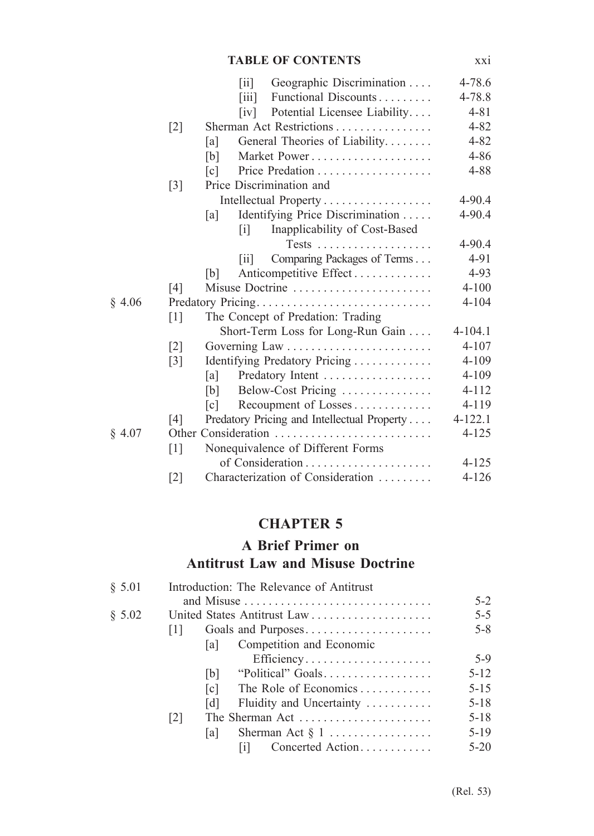#### **TABLE OF CONTENTS** xxi

|        |                   | Geographic Discrimination<br>$\left\lceil \text{ii} \right\rceil$  | 4-78.6      |
|--------|-------------------|--------------------------------------------------------------------|-------------|
|        |                   | Functional Discounts<br>$\left\lceil \mathrm{iii} \right\rceil$    | 4-78.8      |
|        |                   | Potential Licensee Liability<br>$\lceil iv \rceil$                 | $4 - 81$    |
|        | $[2]$             | Sherman Act Restrictions                                           | $4 - 82$    |
|        |                   | General Theories of Liability<br>[a]                               | $4 - 82$    |
|        |                   | [b]                                                                | $4 - 86$    |
|        |                   | $\lceil c \rceil$                                                  | $4 - 88$    |
|        | $[3]$             | Price Discrimination and                                           |             |
|        |                   |                                                                    | 4-90.4      |
|        |                   | Identifying Price Discrimination<br>[a]                            | 4-90.4      |
|        |                   | Inapplicability of Cost-Based<br>$\left\lceil i \right\rceil$      |             |
|        |                   |                                                                    | $4 - 90.4$  |
|        |                   | Comparing Packages of Terms<br>$\left\lceil \text{i} \right\rceil$ | 4-91        |
|        |                   | Anticompetitive Effect<br>[b]                                      | $4 - 93$    |
|        | [4]               | Misuse Doctrine                                                    | $4 - 100$   |
| § 4.06 |                   | Predatory Pricing                                                  | $4 - 104$   |
|        | $[1]$             | The Concept of Predation: Trading                                  |             |
|        |                   | Short-Term Loss for Long-Run Gain                                  | $4 - 104.1$ |
|        | $[2]$             |                                                                    | $4 - 107$   |
|        | $[3]$             | Identifying Predatory Pricing                                      | 4-109       |
|        |                   | Predatory Intent<br>[a]                                            | $4 - 109$   |
|        |                   | Below-Cost Pricing<br>[b]                                          | $4 - 112$   |
|        |                   | Recoupment of Losses<br>$\lceil c \rceil$                          | 4-119       |
|        | [4]               | Predatory Pricing and Intellectual Property                        | $4 - 122.1$ |
| § 4.07 |                   | Other Consideration                                                | $4 - 125$   |
|        | $\lceil 1 \rceil$ | Nonequivalence of Different Forms                                  |             |
|        |                   |                                                                    | $4 - 125$   |
|        | $[2]$             | Characterization of Consideration                                  | 4-126       |

# **CHAPTER 5**

## **A Brief Primer on Antitrust Law and Misuse Doctrine**

| § 5.01 |                   |                   | Introduction: The Relevance of Antitrust                   |          |
|--------|-------------------|-------------------|------------------------------------------------------------|----------|
|        |                   |                   |                                                            | $5-2$    |
| § 5.02 |                   |                   |                                                            | $5 - 5$  |
|        | $\perp$           |                   | Goals and Purposes                                         | $5 - 8$  |
|        |                   | la l              | Competition and Economic                                   |          |
|        |                   |                   | Efficiency                                                 | $5-9$    |
|        |                   | [b]               | "Political" Goals                                          | $5 - 12$ |
|        |                   | $\lceil c \rceil$ | The Role of Economics                                      | $5 - 15$ |
|        |                   | $\lceil d \rceil$ | Fluidity and Uncertainty                                   | $5 - 18$ |
|        | $\lceil 2 \rceil$ |                   | The Sherman Act $\dots\dots\dots\dots\dots\dots\dots\dots$ | $5 - 18$ |
|        |                   | la l              | Sherman Act $\S 1$                                         | $5-19$   |
|        |                   |                   | Concerted Action<br>ΙiΓ                                    | $5-20$   |
|        |                   |                   |                                                            |          |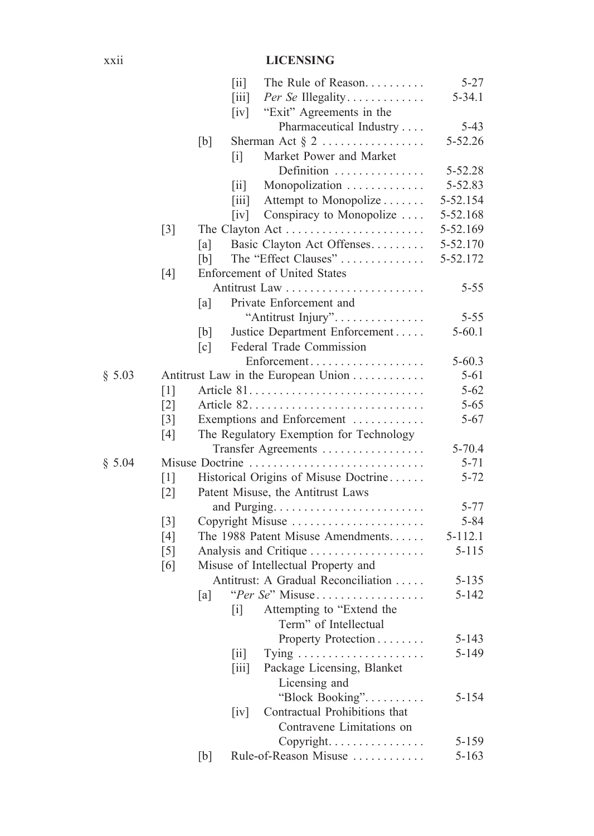### xxii **LICENSING**

|        |       |                   | $\left[ \text{ii} \right]$<br>The Rule of Reason                                        | $5 - 27$    |
|--------|-------|-------------------|-----------------------------------------------------------------------------------------|-------------|
|        |       |                   | $\left[\overline{\text{iii}}\right]$<br>Per Se Illegality                               | $5 - 34.1$  |
|        |       |                   | "Exit" Agreements in the<br>$\lceil iv \rceil$                                          |             |
|        |       |                   | Pharmaceutical Industry                                                                 | $5-43$      |
|        |       | [b]               | Sherman Act $\S 2$                                                                      | 5-52.26     |
|        |       |                   | Market Power and Market<br>$\lceil i \rceil$                                            |             |
|        |       |                   | Definition                                                                              | 5-52.28     |
|        |       |                   | Monopolization<br>$\vert \overline{\mathbf{1}} \mathbf{1} \vert$                        | 5-52.83     |
|        |       |                   | Attempt to Monopolize<br>$\left\lceil \overline{1}\overline{1}\overline{1}\right\rceil$ | 5-52.154    |
|        |       |                   | Conspiracy to Monopolize<br>$\lceil iv \rceil$                                          | 5-52.168    |
|        | $[3]$ |                   |                                                                                         | 5-52.169    |
|        |       | [a]               | Basic Clayton Act Offenses                                                              | 5-52.170    |
|        |       | [b]               | The "Effect Clauses"                                                                    | 5-52.172    |
|        | $[4]$ |                   | Enforcement of United States                                                            |             |
|        |       |                   |                                                                                         | $5 - 55$    |
|        |       | [a]               | Private Enforcement and                                                                 |             |
|        |       |                   | "Antitrust Injury".                                                                     | $5 - 55$    |
|        |       | [b]               | Justice Department Enforcement                                                          | $5 - 60.1$  |
|        |       | $\lceil c \rceil$ | Federal Trade Commission                                                                |             |
|        |       |                   | Enforcement                                                                             | $5 - 60.3$  |
| \$5.03 |       |                   | Antitrust Law in the European Union                                                     | $5 - 61$    |
|        | $[1]$ |                   |                                                                                         | $5 - 62$    |
|        | $[2]$ |                   |                                                                                         | $5 - 65$    |
|        | $[3]$ |                   | Exemptions and Enforcement                                                              | $5 - 67$    |
|        | [4]   |                   | The Regulatory Exemption for Technology                                                 |             |
|        |       |                   | Transfer Agreements                                                                     | $5 - 70.4$  |
| \$5.04 |       |                   | Misuse Doctrine                                                                         | $5 - 71$    |
|        | $[1]$ |                   | Historical Origins of Misuse Doctrine                                                   | $5 - 72$    |
|        | $[2]$ |                   | Patent Misuse, the Antitrust Laws                                                       |             |
|        |       |                   |                                                                                         | $5 - 77$    |
|        | $[3]$ |                   | Copyright Misuse                                                                        | $5 - 84$    |
|        | $[4]$ |                   | The 1988 Patent Misuse Amendments                                                       | $5 - 112.1$ |
|        | $[5]$ |                   |                                                                                         | $5 - 115$   |
|        | [6]   |                   | Misuse of Intellectual Property and                                                     |             |
|        |       |                   | Antitrust: A Gradual Reconciliation                                                     | $5 - 135$   |
|        |       | [a]               | "Per Se" Misuse                                                                         | $5 - 142$   |
|        |       |                   | Attempting to "Extend the<br>$\lceil i \rceil$                                          |             |
|        |       |                   | Term" of Intellectual                                                                   |             |
|        |       |                   | Property Protection                                                                     | $5 - 143$   |
|        |       |                   | [ii]                                                                                    | 5-149       |
|        |       |                   | Package Licensing, Blanket<br>$\left[\text{iii}\right]$                                 |             |
|        |       |                   | Licensing and                                                                           |             |
|        |       |                   | "Block Booking"                                                                         | 5-154       |
|        |       |                   | Contractual Prohibitions that<br>[iv]                                                   |             |
|        |       |                   | Contravene Limitations on                                                               |             |
|        |       |                   | Copyright.                                                                              | 5-159       |
|        |       | [b]               | Rule-of-Reason Misuse                                                                   | $5 - 163$   |
|        |       |                   |                                                                                         |             |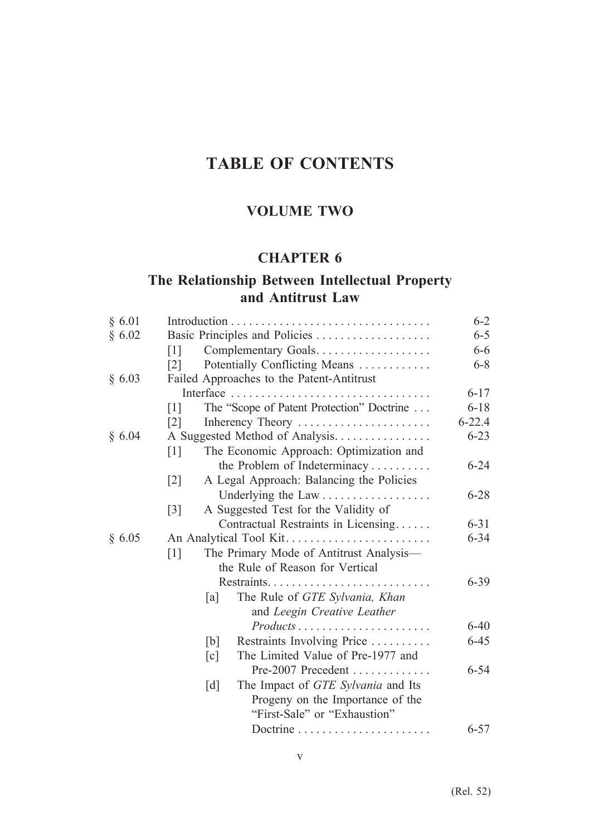# **TABLE OF CONTENTS**

# **VOLUME TWO**

### **CHAPTER 6**

## **The Relationship Between Intellectual Property and Antitrust Law**

| § 6.01 |                                                                | $6 - 2$    |
|--------|----------------------------------------------------------------|------------|
| § 6.02 | Basic Principles and Policies                                  | $6 - 5$    |
|        | Complementary Goals<br>$\lceil 1 \rceil$                       | $6 - 6$    |
|        | Potentially Conflicting Means<br>$\lceil 2 \rceil$             | $6 - 8$    |
| § 6.03 | Failed Approaches to the Patent-Antitrust                      |            |
|        | Interface                                                      | $6 - 17$   |
|        | The "Scope of Patent Protection" Doctrine<br>$\lceil 1 \rceil$ | $6 - 18$   |
|        | Inherency Theory<br>$\lceil 2 \rceil$                          | $6 - 22.4$ |
| § 6.04 | A Suggested Method of Analysis.                                | $6 - 23$   |
|        | The Economic Approach: Optimization and<br>$[1]$               |            |
|        | the Problem of Indeterminacy                                   | $6 - 24$   |
|        | A Legal Approach: Balancing the Policies<br>$[2]$              |            |
|        | Underlying the Law                                             | $6 - 28$   |
|        | A Suggested Test for the Validity of<br>$[3]$                  |            |
|        | Contractual Restraints in Licensing                            | $6 - 31$   |
| § 6.05 |                                                                | $6 - 34$   |
|        | The Primary Mode of Antitrust Analysis-<br>$\lceil 1 \rceil$   |            |
|        | the Rule of Reason for Vertical                                |            |
|        |                                                                | $6 - 39$   |
|        | The Rule of GTE Sylvania, Khan<br>[a]                          |            |
|        | and Leegin Creative Leather                                    |            |
|        | Products                                                       | $6 - 40$   |
|        | Restraints Involving Price<br>[b]                              | $6 - 45$   |
|        | The Limited Value of Pre-1977 and<br>[c]                       |            |
|        |                                                                | $6 - 54$   |
|        | The Impact of GTE Sylvania and Its<br>[d]                      |            |
|        | Progeny on the Importance of the                               |            |
|        | "First-Sale" or "Exhaustion"                                   |            |
|        |                                                                | $6 - 57$   |
|        |                                                                |            |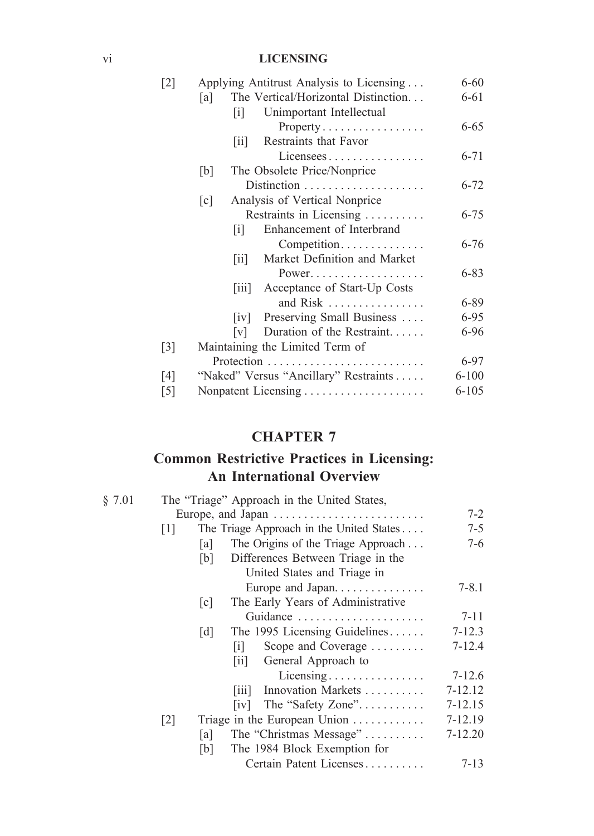### vi **LICENSING**

| $\lceil 2 \rceil$ | Applying Antitrust Analysis to Licensing                            | $6 - 60$  |
|-------------------|---------------------------------------------------------------------|-----------|
|                   | The Vertical/Horizontal Distinction<br> a                           | 6-61      |
|                   | Unimportant Intellectual<br>$\lceil i \rceil$                       |           |
|                   | $Property \ldots \ldots \ldots \ldots \ldots$                       | $6 - 65$  |
|                   | Restraints that Favor<br>$\vert \text{11} \vert$                    |           |
|                   | Licensees                                                           | $6 - 71$  |
|                   | The Obsolete Price/Nonprice<br>[b]                                  |           |
|                   |                                                                     | $6 - 72$  |
|                   | Analysis of Vertical Nonprice<br>$\lceil c \rceil$                  |           |
|                   | Restraints in Licensing                                             | $6 - 75$  |
|                   | Enhancement of Interbrand<br> 1                                     |           |
|                   | Competition                                                         | $6 - 76$  |
|                   | Market Definition and Market<br>$\left\lceil \text{i} \right\rceil$ |           |
|                   | Power                                                               | $6 - 83$  |
|                   | [iii] Acceptance of Start-Up Costs                                  |           |
|                   | and Risk                                                            | 6-89      |
|                   | Preserving Small Business<br> 1V                                    | 6-95      |
|                   | Duration of the Restraint<br> V                                     | 6-96      |
| $\lceil 3 \rceil$ | Maintaining the Limited Term of                                     |           |
|                   |                                                                     | 6-97      |
| [4]               | "Naked" Versus "Ancillary" Restraints                               | $6 - 100$ |
| $[5]$             |                                                                     | 6-105     |

### **CHAPTER 7**

# **Common Restrictive Practices in Licensing: An International Overview**

| § 7.01 | The "Triage" Approach in the United States,                   |             |
|--------|---------------------------------------------------------------|-------------|
|        | Europe, and Japan                                             | $7-2$       |
|        | The Triage Approach in the United States<br>$\lceil 1 \rceil$ | $7 - 5$     |
|        | The Origins of the Triage Approach<br>[a]                     | 7-6         |
|        | Differences Between Triage in the<br>[b]                      |             |
|        | United States and Triage in                                   |             |
|        | Europe and Japan                                              | $7 - 8.1$   |
|        | The Early Years of Administrative<br>$\lceil c \rceil$        |             |
|        | Guidance $\ldots \ldots \ldots \ldots \ldots \ldots$          | $7 - 11$    |
|        | The 1995 Licensing Guidelines<br>$\lceil d \rceil$            | $7 - 12.3$  |
|        | Scope and Coverage<br>$\vert \mathbf{1} \vert$                | $7 - 12.4$  |
|        | General Approach to<br>$\begin{bmatrix} 11 \end{bmatrix}$     |             |
|        | Licensing                                                     | $7 - 12.6$  |
|        | Innovation Markets<br>$\vert \overline{111} \vert$            | 7-12.12     |
|        | $\lceil i \mathbf{v} \rceil$                                  | 7-12.15     |
|        | Triage in the European Union<br>$\lceil 2 \rceil$             | 7-12.19     |
|        | The "Christmas Message"<br>[a]                                | $7 - 12.20$ |
|        | The 1984 Block Exemption for<br>[b]                           |             |
|        | Certain Patent Licenses                                       | $7 - 13$    |
|        |                                                               |             |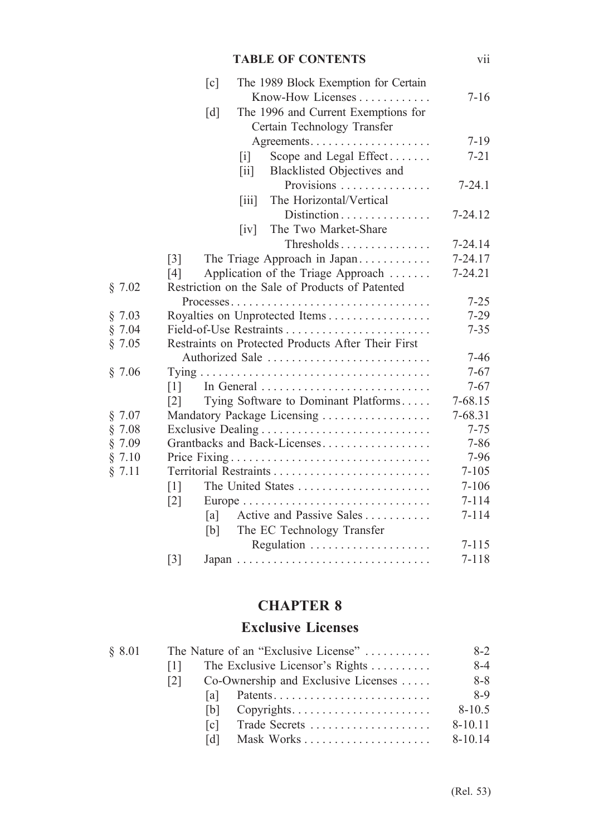### **TABLE OF CONTENTS** vii

|        | $\lceil c \rceil$<br>The 1989 Block Exemption for Certain        |             |
|--------|------------------------------------------------------------------|-------------|
|        | Know-How Licenses                                                | $7 - 16$    |
|        | $\lceil d \rceil$<br>The 1996 and Current Exemptions for         |             |
|        | Certain Technology Transfer                                      |             |
|        |                                                                  | $7 - 19$    |
|        | Scope and Legal Effect<br>$[$                                    | $7 - 21$    |
|        | Blacklisted Objectives and<br>$\left[\text{iii}\right]$          |             |
|        | Provisions                                                       | $7 - 24.1$  |
|        | The Horizontal/Vertical<br>$\left\lceil \text{iii} \right\rceil$ |             |
|        | Distinction                                                      | $7 - 24.12$ |
|        | The Two Market-Share<br> iv                                      |             |
|        | Thresholds                                                       | 7-24.14     |
|        | $\lceil 3 \rceil$<br>The Triage Approach in Japan                | 7-24.17     |
|        | Application of the Triage Approach<br>[4]                        | $7 - 24.21$ |
| § 7.02 | Restriction on the Sale of Products of Patented                  |             |
|        |                                                                  | $7 - 25$    |
| § 7.03 | Royalties on Unprotected Items                                   | $7 - 29$    |
| § 7.04 |                                                                  | $7 - 35$    |
| § 7.05 | Restraints on Protected Products After Their First               |             |
|        | Authorized Sale                                                  | $7 - 46$    |
| § 7.06 |                                                                  | $7 - 67$    |
|        | $\lceil 1 \rceil$                                                | $7 - 67$    |
|        | Tying Software to Dominant Platforms<br>$\lceil 2 \rceil$        | 7-68.15     |
| § 7.07 | Mandatory Package Licensing                                      | 7-68.31     |
| \$7.08 |                                                                  | $7 - 75$    |
| § 7.09 | Grantbacks and Back-Licenses                                     | $7 - 86$    |
| § 7.10 |                                                                  | 7-96        |
| § 7.11 |                                                                  | $7 - 105$   |
|        | $\lceil 1 \rceil$                                                | $7 - 106$   |
|        | $\lceil 2 \rceil$                                                | $7 - 114$   |
|        | Active and Passive Sales<br>[a]                                  | $7 - 114$   |
|        | The EC Technology Transfer<br>[b]                                |             |
|        |                                                                  | $7 - 115$   |
|        | $\lceil 3 \rceil$                                                | $7 - 118$   |
|        |                                                                  |             |

## **CHAPTER 8**

## **Exclusive Licenses**

| § 8.01 | The Nature of an "Exclusive License" |       |                                                       | $8-2$       |
|--------|--------------------------------------|-------|-------------------------------------------------------|-------------|
|        | $\Box$                               |       | The Exclusive Licensor's Rights                       | $8 - 4$     |
|        | 121.                                 |       | Co-Ownership and Exclusive Licenses                   | $8 - 8$     |
|        |                                      |       |                                                       | 8-9         |
|        |                                      | IbL.  | $Copyrights. \ldots. \ldots. \ldots. \ldots. \ldots.$ | $8 - 10.5$  |
|        |                                      | l c l | Trade Secrets                                         | $8 - 10.11$ |
|        |                                      | IdI   |                                                       | $8-10.14$   |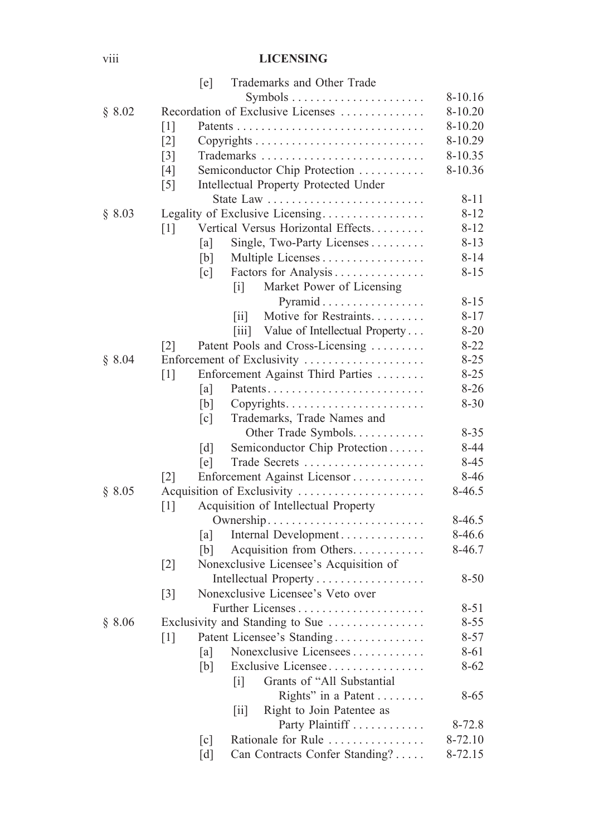### viii **LICENSING**

|        | [e]               | Trademarks and Other Trade                                                 |             |
|--------|-------------------|----------------------------------------------------------------------------|-------------|
|        |                   |                                                                            | 8-10.16     |
| § 8.02 |                   | Recordation of Exclusive Licenses                                          | 8-10.20     |
|        | $\lceil 1 \rceil$ |                                                                            | $8 - 10.20$ |
|        | $\lceil 2 \rceil$ |                                                                            | 8-10.29     |
|        | $\lceil 3 \rceil$ |                                                                            | 8-10.35     |
|        | [4]               | Semiconductor Chip Protection                                              | 8-10.36     |
|        | $[5]$             | Intellectual Property Protected Under                                      |             |
|        |                   |                                                                            | $8 - 11$    |
| § 8.03 |                   | Legality of Exclusive Licensing                                            | $8 - 12$    |
|        | $[1]$             | Vertical Versus Horizontal Effects                                         | $8 - 12$    |
|        | a                 | Single, Two-Party Licenses                                                 | $8 - 13$    |
|        | [b]               | Multiple Licenses                                                          | $8 - 14$    |
|        | [c]               | Factors for Analysis                                                       | $8 - 15$    |
|        |                   | Market Power of Licensing<br>$\lceil i \rceil$                             |             |
|        |                   | Pyramid                                                                    | $8 - 15$    |
|        |                   | Motive for Restraints<br> 11                                               | $8 - 17$    |
|        |                   | Value of Intellectual Property<br>$\left\lceil \frac{1}{111} \right\rceil$ | $8 - 20$    |
|        | $\lceil 2 \rceil$ | Patent Pools and Cross-Licensing                                           | $8 - 22$    |
| \$8.04 |                   | Enforcement of Exclusivity                                                 | $8 - 25$    |
|        | $\lceil 1 \rceil$ | Enforcement Against Third Parties                                          | $8 - 25$    |
|        | a                 |                                                                            | $8 - 26$    |
|        | [b]               | Copyrights                                                                 | $8 - 30$    |
|        | $\lceil c \rceil$ | Trademarks, Trade Names and                                                |             |
|        |                   | Other Trade Symbols                                                        | $8 - 35$    |
|        | $\lceil d \rceil$ | Semiconductor Chip Protection                                              | 8-44        |
|        | [e]               | Trade Secrets                                                              | $8-45$      |
|        | $\lceil 2 \rceil$ | Enforcement Against Licensor                                               | 8-46        |
| § 8.05 |                   | Acquisition of Exclusivity                                                 | 8-46.5      |
|        | $\lceil 1 \rceil$ | Acquisition of Intellectual Property                                       |             |
|        |                   | Ownership                                                                  | 8-46.5      |
|        | a                 | Internal Development                                                       | 8-46.6      |
|        | [b]               | Acquisition from Others                                                    | 8-46.7      |
|        | $\lceil 2 \rceil$ | Nonexclusive Licensee's Acquisition of                                     |             |
|        |                   | Intellectual Property                                                      | $8 - 50$    |
|        | $\lceil 3 \rceil$ | Nonexclusive Licensee's Veto over                                          |             |
|        |                   |                                                                            | $8 - 51$    |
| § 8.06 |                   | Exclusivity and Standing to Sue                                            | $8 - 55$    |
|        | $[1]$             | Patent Licensee's Standing                                                 | $8 - 57$    |
|        | [a]               | Nonexclusive Licensees                                                     | 8-61        |
|        | [b]               | Exclusive Licensee                                                         | $8 - 62$    |
|        |                   | Grants of "All Substantial<br>$[1]$                                        |             |
|        |                   | Rights" in a Patent                                                        | $8 - 65$    |
|        |                   | Right to Join Patentee as<br>[ii]                                          |             |
|        |                   | Party Plaintiff                                                            | 8-72.8      |
|        | [c]               | Rationale for Rule                                                         | 8-72.10     |
|        | [d]               | Can Contracts Confer Standing?                                             | 8-72.15     |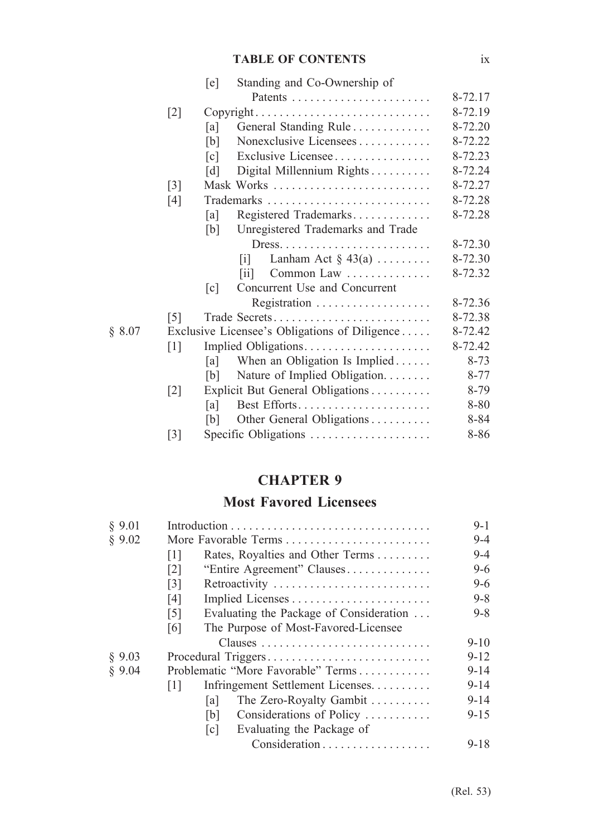### **TABLE OF CONTENTS** ix

|        |                   | [e]               | Standing and Co-Ownership of                                     |          |
|--------|-------------------|-------------------|------------------------------------------------------------------|----------|
|        |                   |                   |                                                                  | 8-72.17  |
|        | $[2]$             |                   | Copyright                                                        | 8-72.19  |
|        |                   | [a]               | General Standing Rule                                            | 8-72.20  |
|        |                   | [b]               | Nonexclusive Licensees                                           | 8-72.22  |
|        |                   | $\lceil c \rceil$ | Exclusive Licensee                                               | 8-72.23  |
|        |                   | [d]               | Digital Millennium Rights                                        | 8-72.24  |
|        | $[3]$             |                   | Mask Works                                                       | 8-72.27  |
|        | $[4]$             |                   |                                                                  | 8-72.28  |
|        |                   | [a]               | Registered Trademarks                                            | 8-72.28  |
|        |                   | [b]               | Unregistered Trademarks and Trade                                |          |
|        |                   |                   | $Dress. \ldots \ldots \ldots \ldots \ldots \ldots \ldots \ldots$ | 8-72.30  |
|        |                   |                   | Lanham Act $\S$ 43(a)<br>$\lceil i \rceil$                       | 8-72.30  |
|        |                   |                   | Common Law<br><b>Fiil</b>                                        | 8-72.32  |
|        |                   | $\lceil c \rceil$ | Concurrent Use and Concurrent                                    |          |
|        |                   |                   | Registration $\ldots \ldots \ldots \ldots \ldots$                | 8-72.36  |
|        | $\lceil 5 \rceil$ |                   | Trade Secrets                                                    | 8-72.38  |
| § 8.07 |                   |                   | Exclusive Licensee's Obligations of Diligence                    | 8-72.42  |
|        | $\lceil 1 \rceil$ |                   | Implied Obligations                                              | 8-72.42  |
|        |                   | [a]               | When an Obligation Is Implied                                    | $8 - 73$ |
|        |                   | [b]               | Nature of Implied Obligation.                                    | $8 - 77$ |
|        | $\lceil 2 \rceil$ |                   | Explicit But General Obligations                                 | 8-79     |
|        |                   | [a]               |                                                                  | 8-80     |
|        |                   | [b]               | Other General Obligations                                        | 8-84     |
|        | $[3]$             |                   | Specific Obligations                                             | 8-86     |

## **CHAPTER 9**

# **Most Favored Licensees**

| $9 - 4$  |
|----------|
| $9-4$    |
| $9-6$    |
| $9-6$    |
| $9 - 8$  |
| $9 - 8$  |
|          |
| $9 - 10$ |
| $9 - 12$ |
| $9 - 14$ |
| $9 - 14$ |
| $9 - 14$ |
| $9 - 15$ |
|          |
| $9 - 18$ |
|          |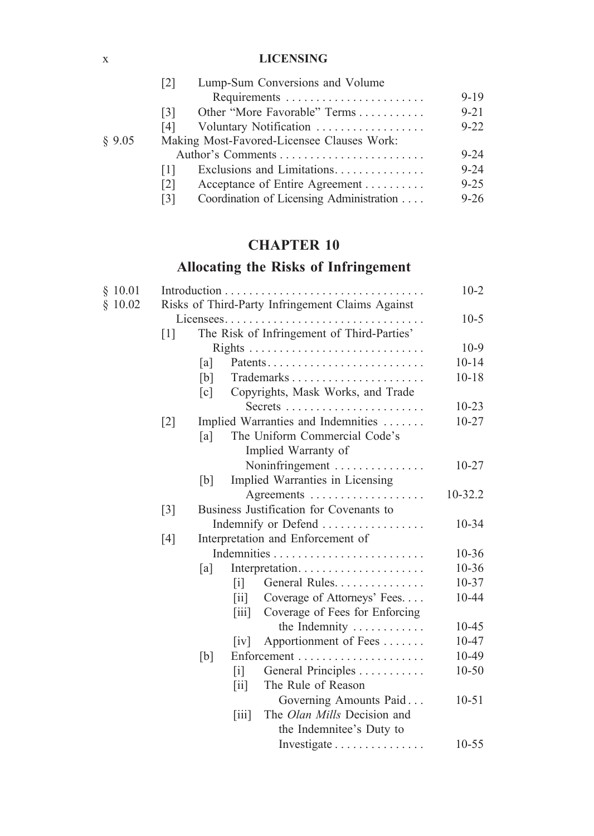### x **LICENSING**

|        | Lump-Sum Conversions and Volume<br>[2]              |          |  |  |  |
|--------|-----------------------------------------------------|----------|--|--|--|
|        | Requirements                                        | $9 - 19$ |  |  |  |
|        | Other "More Favorable" Terms<br>[3]                 | $9 - 21$ |  |  |  |
|        | Voluntary Notification<br>[4]                       | $9 - 22$ |  |  |  |
| \$9.05 | Making Most-Favored-Licensee Clauses Work:          |          |  |  |  |
|        |                                                     | $9 - 24$ |  |  |  |
|        | Ш                                                   | $9 - 24$ |  |  |  |
|        | Acceptance of Entire Agreement<br>$\lceil 2 \rceil$ | $9 - 25$ |  |  |  |
|        | Coordination of Licensing Administration<br>[3]     | $9 - 26$ |  |  |  |
|        |                                                     |          |  |  |  |

# **CHAPTER 10**

# **Allocating the Risks of Infringement**

| \$10.01 |                                                  |                                            |                                      |                                                              | $10-2$    |
|---------|--------------------------------------------------|--------------------------------------------|--------------------------------------|--------------------------------------------------------------|-----------|
| \$10.02 | Risks of Third-Party Infringement Claims Against |                                            |                                      |                                                              |           |
|         |                                                  | $10-5$                                     |                                      |                                                              |           |
|         | $\lceil 1 \rceil$                                | The Risk of Infringement of Third-Parties' |                                      |                                                              |           |
|         |                                                  |                                            |                                      |                                                              | $10-9$    |
|         |                                                  | [a]                                        |                                      |                                                              | $10 - 14$ |
|         |                                                  | [b]                                        |                                      | $Trademarks \dots \dots \dots \dots \dots \dots \dots \dots$ | $10 - 18$ |
|         |                                                  | $\lceil c \rceil$                          |                                      | Copyrights, Mask Works, and Trade                            |           |
|         |                                                  |                                            |                                      |                                                              | $10 - 23$ |
|         | $[2]$                                            |                                            |                                      | Implied Warranties and Indemnities                           | $10 - 27$ |
|         |                                                  | [a]                                        |                                      | The Uniform Commercial Code's                                |           |
|         |                                                  |                                            |                                      | Implied Warranty of                                          |           |
|         |                                                  |                                            |                                      | Noninfringement                                              | $10 - 27$ |
|         |                                                  | [b]                                        |                                      | Implied Warranties in Licensing                              |           |
|         |                                                  |                                            |                                      |                                                              | 10-32.2   |
|         | $[3]$                                            |                                            |                                      | Business Justification for Covenants to                      |           |
|         |                                                  |                                            |                                      | Indemnify or Defend                                          | $10 - 34$ |
|         | [4]                                              | Interpretation and Enforcement of          |                                      |                                                              |           |
|         |                                                  |                                            |                                      |                                                              | $10 - 36$ |
|         |                                                  | [a]                                        |                                      | Interpretation                                               | 10-36     |
|         |                                                  |                                            | $\lceil i \rceil$                    | General Rules                                                | 10-37     |
|         |                                                  |                                            | $\left\lceil \text{ii} \right\rceil$ | Coverage of Attorneys' Fees                                  | 10-44     |
|         |                                                  |                                            | $\left[\overline{\text{iii}}\right]$ | Coverage of Fees for Enforcing                               |           |
|         |                                                  |                                            |                                      | the Indemnity $\dots \dots \dots$                            | 10-45     |
|         |                                                  |                                            | iv                                   | Apportionment of Fees                                        | 10-47     |
|         |                                                  | [b]                                        |                                      |                                                              | 10-49     |
|         |                                                  |                                            | $\lceil i \rceil$                    | General Principles                                           | $10 - 50$ |
|         |                                                  |                                            | $\left\lceil \text{i} \right\rceil$  | The Rule of Reason                                           |           |
|         |                                                  |                                            |                                      | Governing Amounts Paid                                       | $10 - 51$ |
|         |                                                  |                                            | $\vert \overline{111} \vert$         | The Olan Mills Decision and                                  |           |
|         |                                                  |                                            |                                      | the Indemnitee's Duty to                                     |           |
|         |                                                  |                                            |                                      | Investigate                                                  | $10 - 55$ |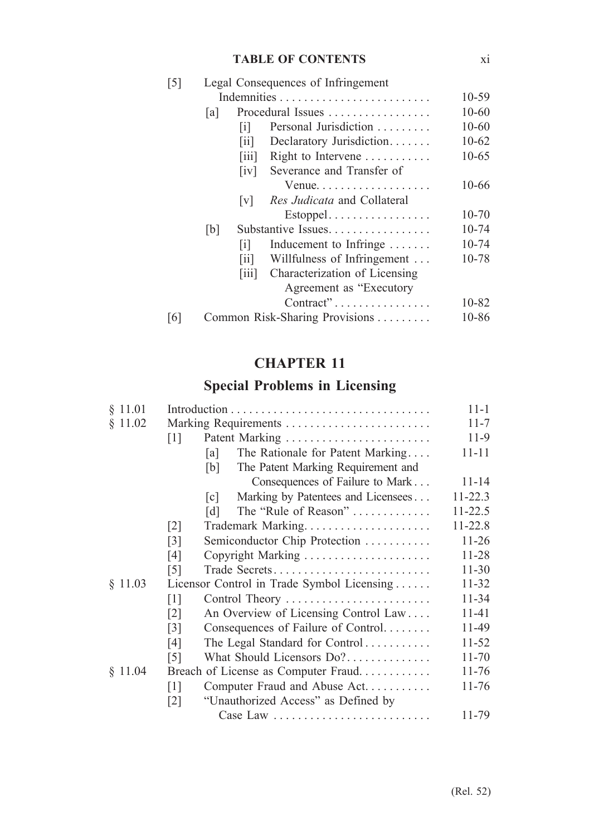### **TABLE OF CONTENTS** xi

| $\lceil 5 \rceil$ |      | Legal Consequences of Infringement  |                                                    |           |  |  |  |
|-------------------|------|-------------------------------------|----------------------------------------------------|-----------|--|--|--|
|                   |      |                                     |                                                    |           |  |  |  |
|                   | la l |                                     | Procedural Issues $\dots\dots\dots\dots\dots\dots$ |           |  |  |  |
|                   |      | ΙÏ                                  | Personal Jurisdiction                              | $10 - 60$ |  |  |  |
|                   |      | $\left\lceil \text{i} \right\rceil$ | Declaratory Jurisdiction                           | $10-62$   |  |  |  |
|                   |      | $\lim$                              | Right to Intervene                                 | $10-65$   |  |  |  |
|                   |      | $\lceil \mathrm{iv} \rceil$         | Severance and Transfer of                          |           |  |  |  |
|                   |      |                                     | Venue                                              | 10-66     |  |  |  |
|                   |      | V                                   | <i>Res Judicata</i> and Collateral                 |           |  |  |  |
|                   |      |                                     | Estoppel                                           | $10 - 70$ |  |  |  |
|                   | [b]  |                                     | Substantive Issues.                                |           |  |  |  |
|                   |      | $\lceil i \rceil$                   | Inducement to Infringe                             | $10 - 74$ |  |  |  |
|                   |      | $\overline{\text{iii}}$             | Willfulness of Infringement                        | 10-78     |  |  |  |
|                   |      | $\lim$                              | Characterization of Licensing                      |           |  |  |  |
|                   |      |                                     | Agreement as "Executory"                           |           |  |  |  |
|                   |      |                                     | Contract"                                          | 10-82     |  |  |  |
| [6]               |      |                                     | Common Risk-Sharing Provisions                     | 10-86     |  |  |  |

# **CHAPTER 11**

# **Special Problems in Licensing**

| § 11.01 |                                                    |           |  |
|---------|----------------------------------------------------|-----------|--|
| § 11.02 | Marking Requirements                               |           |  |
|         | Patent Marking<br>$\lceil 1 \rceil$                | 11-9      |  |
|         | The Rationale for Patent Marking<br>[a]            | $11 - 11$ |  |
|         | The Patent Marking Requirement and<br>[b]          |           |  |
|         | Consequences of Failure to Mark                    | 11-14     |  |
|         | Marking by Patentees and Licensees<br> c           | 11-22.3   |  |
|         | The "Rule of Reason"<br>[d]                        | 11-22.5   |  |
|         | $\lceil 2 \rceil$                                  | 11-22.8   |  |
|         | $\lceil 3 \rceil$<br>Semiconductor Chip Protection | $11-26$   |  |
|         | Copyright Marking<br>[4]                           | 11-28     |  |
|         | $\lceil 5 \rceil$<br>Trade Secrets                 | $11 - 30$ |  |
| § 11.03 | Licensor Control in Trade Symbol Licensing         | 11-32     |  |
|         | [1]<br>Control Theory                              | 11-34     |  |
|         | An Overview of Licensing Control Law<br>[2]        | 11-41     |  |
|         | Consequences of Failure of Control<br>[3]          | 11-49     |  |
|         | The Legal Standard for Control<br>[4]              | 11-52     |  |
|         | What Should Licensors $Do?$<br>$\lceil 5 \rceil$   | $11 - 70$ |  |
| § 11.04 | Breach of License as Computer Fraud                | 11-76     |  |
|         | Computer Fraud and Abuse Act<br>$\lceil 1 \rceil$  | 11-76     |  |
|         | "Unauthorized Access" as Defined by<br> 2          |           |  |
|         | Case Law                                           | 11-79     |  |
|         |                                                    |           |  |